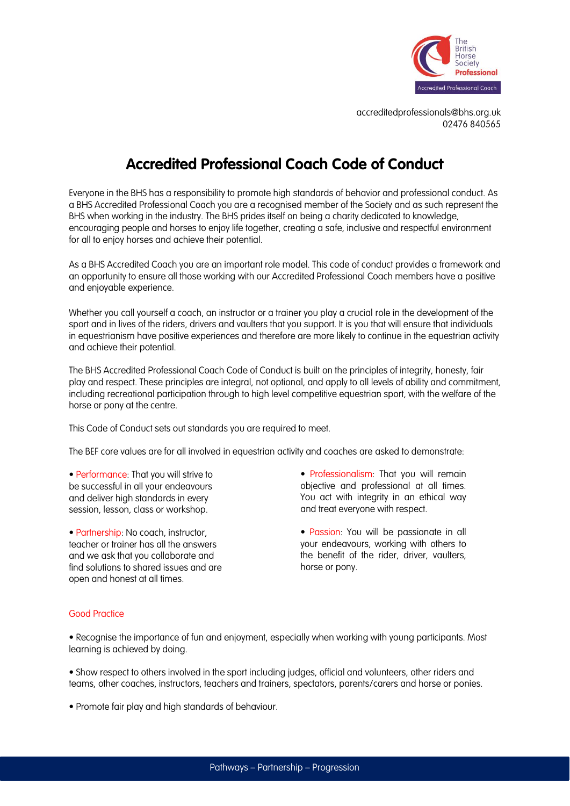

# **Accredited Professional Coach Code of Conduct**

Everyone in the BHS has a responsibility to promote high standards of behavior and professional conduct. As a BHS Accredited Professional Coach you are a recognised member of the Society and as such represent the BHS when working in the industry. The BHS prides itself on being a charity dedicated to knowledge, encouraging people and horses to enjoy life together, creating a safe, inclusive and respectful environment for all to enjoy horses and achieve their potential.

As a BHS Accredited Coach you are an important role model. This code of conduct provides a framework and an opportunity to ensure all those working with our Accredited Professional Coach members have a positive and enjoyable experience.

Whether you call yourself a coach, an instructor or a trainer you play a crucial role in the development of the sport and in lives of the riders, drivers and vaulters that you support. It is you that will ensure that individuals in equestrianism have positive experiences and therefore are more likely to continue in the equestrian activity and achieve their potential.

The BHS Accredited Professional Coach Code of Conduct is built on the principles of integrity, honesty, fair play and respect. These principles are integral, not optional, and apply to all levels of ability and commitment, including recreational participation through to high level competitive equestrian sport, with the welfare of the horse or pony at the centre.

This Code of Conduct sets out standards you are required to meet.

The BEF core values are for all involved in equestrian activity and coaches are asked to demonstrate:

• Performance: That you will strive to be successful in all your endeavours and deliver high standards in every session, lesson, class or workshop.

• Partnership: No coach, instructor, teacher or trainer has all the answers and we ask that you collaborate and find solutions to shared issues and are open and honest at all times.

• Professionalism: That you will remain objective and professional at all times. You act with integrity in an ethical way and treat everyone with respect.

• Passion: You will be passionate in all your endeavours, working with others to the benefit of the rider, driver, vaulters, horse or pony.

## Good Practice

• Recognise the importance of fun and enjoyment, especially when working with young participants. Most learning is achieved by doing.

• Show respect to others involved in the sport including judges, official and volunteers, other riders and teams, other coaches, instructors, teachers and trainers, spectators, parents/carers and horse or ponies.

• Promote fair play and high standards of behaviour.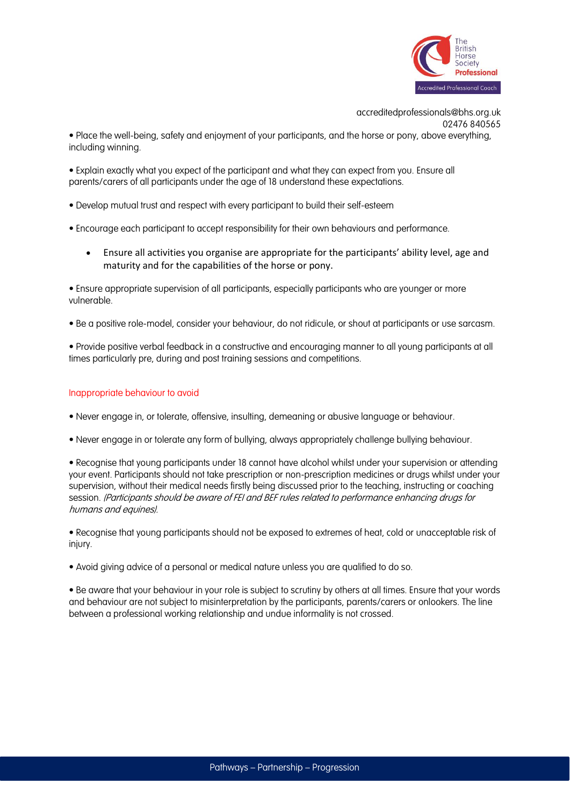

02476 840565 • Place the well-being, safety and enjoyment of your participants, and the horse or pony, above everything, including winning.

• Explain exactly what you expect of the participant and what they can expect from you. Ensure all parents/carers of all participants under the age of 18 understand these expectations.

- Develop mutual trust and respect with every participant to build their self-esteem
- Encourage each participant to accept responsibility for their own behaviours and performance.
	- Ensure all activities you organise are appropriate for the participants' ability level, age and maturity and for the capabilities of the horse or pony.

• Ensure appropriate supervision of all participants, especially participants who are younger or more vulnerable.

• Be a positive role-model, consider your behaviour, do not ridicule, or shout at participants or use sarcasm.

• Provide positive verbal feedback in a constructive and encouraging manner to all young participants at all times particularly pre, during and post training sessions and competitions.

## Inappropriate behaviour to avoid

- Never engage in, or tolerate, offensive, insulting, demeaning or abusive language or behaviour.
- Never engage in or tolerate any form of bullying, always appropriately challenge bullying behaviour.

• Recognise that young participants under 18 cannot have alcohol whilst under your supervision or attending your event. Participants should not take prescription or non-prescription medicines or drugs whilst under your supervision, without their medical needs firstly being discussed prior to the teaching, instructing or coaching session. (Participants should be aware of FEI and BEF rules related to performance enhancing drugs for humans and equines).

• Recognise that young participants should not be exposed to extremes of heat, cold or unacceptable risk of injury.

• Avoid giving advice of a personal or medical nature unless you are qualified to do so.

• Be aware that your behaviour in your role is subject to scrutiny by others at all times. Ensure that your words and behaviour are not subject to misinterpretation by the participants, parents/carers or onlookers. The line between a professional working relationship and undue informality is not crossed.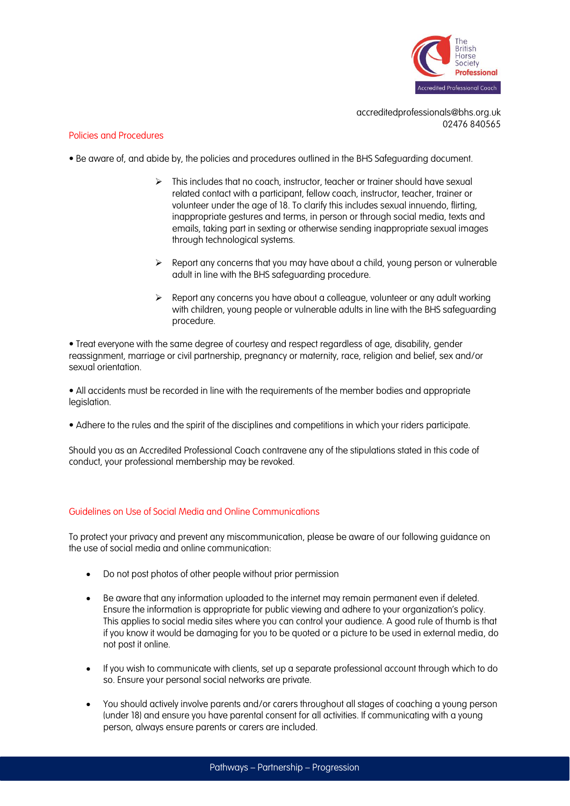

# Policies and Procedures

- Be aware of, and abide by, the policies and procedures outlined in the BHS Safeguarding document.
	- $\triangleright$  This includes that no coach, instructor, teacher or trainer should have sexual related contact with a participant, fellow coach, instructor, teacher, trainer or volunteer under the age of 18. To clarify this includes sexual innuendo, flirting, inappropriate gestures and terms, in person or through social media, texts and emails, taking part in sexting or otherwise sending inappropriate sexual images through technological systems.
	- $\triangleright$  Report any concerns that you may have about a child, young person or vulnerable adult in line with the BHS safeguarding procedure.
	- $\triangleright$  Report any concerns you have about a colleague, volunteer or any adult working with children, young people or vulnerable adults in line with the BHS safeguarding procedure.

• Treat everyone with the same degree of courtesy and respect regardless of age, disability, gender reassignment, marriage or civil partnership, pregnancy or maternity, race, religion and belief, sex and/or sexual orientation.

• All accidents must be recorded in line with the requirements of the member bodies and appropriate legislation.

• Adhere to the rules and the spirit of the disciplines and competitions in which your riders participate.

Should you as an Accredited Professional Coach contravene any of the stipulations stated in this code of conduct, your professional membership may be revoked.

## Guidelines on Use of Social Media and Online Communications

To protect your privacy and prevent any miscommunication, please be aware of our following guidance on the use of social media and online communication:

- Do not post photos of other people without prior permission
- Be aware that any information uploaded to the internet may remain permanent even if deleted. Ensure the information is appropriate for public viewing and adhere to your organization's policy. This applies to social media sites where you can control your audience. A good rule of thumb is that if you know it would be damaging for you to be quoted or a picture to be used in external media, do not post it online.
- If you wish to communicate with clients, set up a separate professional account through which to do so. Ensure your personal social networks are private.
- You should actively involve parents and/or carers throughout all stages of coaching a young person (under 18) and ensure you have parental consent for all activities. If communicating with a young person, always ensure parents or carers are included.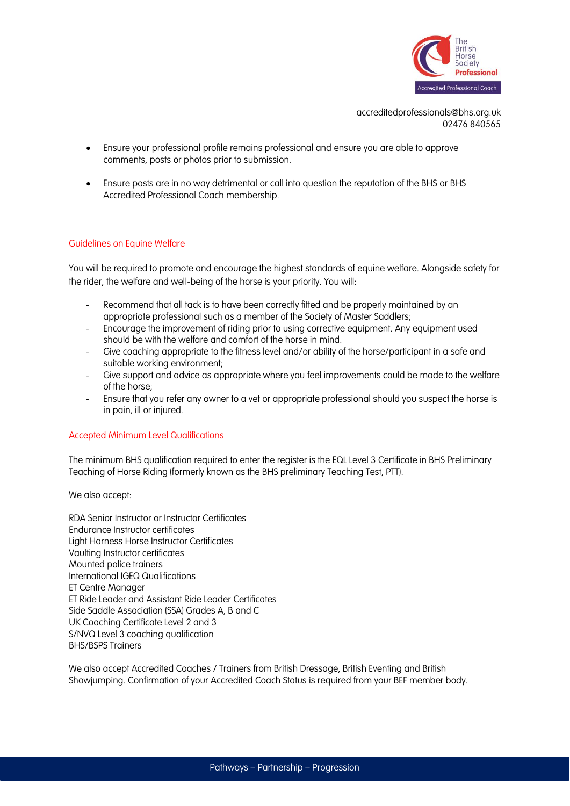

- Ensure your professional profile remains professional and ensure you are able to approve comments, posts or photos prior to submission.
- Ensure posts are in no way detrimental or call into question the reputation of the BHS or BHS Accredited Professional Coach membership.

# Guidelines on Equine Welfare

You will be required to promote and encourage the highest standards of equine welfare. Alongside safety for the rider, the welfare and well-being of the horse is your priority. You will:

- Recommend that all tack is to have been correctly fitted and be properly maintained by an appropriate professional such as a member of the Society of Master Saddlers;
- Encourage the improvement of riding prior to using corrective equipment. Any equipment used should be with the welfare and comfort of the horse in mind.
- Give coaching appropriate to the fitness level and/or ability of the horse/participant in a safe and suitable working environment;
- Give support and advice as appropriate where you feel improvements could be made to the welfare of the horse;
- Ensure that you refer any owner to a vet or appropriate professional should you suspect the horse is in pain, ill or injured.

## Accepted Minimum Level Qualifications

The minimum BHS qualification required to enter the register is the EQL Level 3 Certificate in BHS Preliminary Teaching of Horse Riding (formerly known as the BHS preliminary Teaching Test, PTT).

We also accept:

RDA Senior Instructor or Instructor Certificates Endurance Instructor certificates Light Harness Horse Instructor Certificates Vaulting Instructor certificates Mounted police trainers International IGEQ Qualifications ET Centre Manager ET Ride Leader and Assistant Ride Leader Certificates Side Saddle Association (SSA) Grades A, B and C UK Coaching Certificate Level 2 and 3 S/NVQ Level 3 coaching qualification BHS/BSPS Trainers

We also accept Accredited Coaches / Trainers from British Dressage, British Eventing and British Showjumping. Confirmation of your Accredited Coach Status is required from your BEF member body.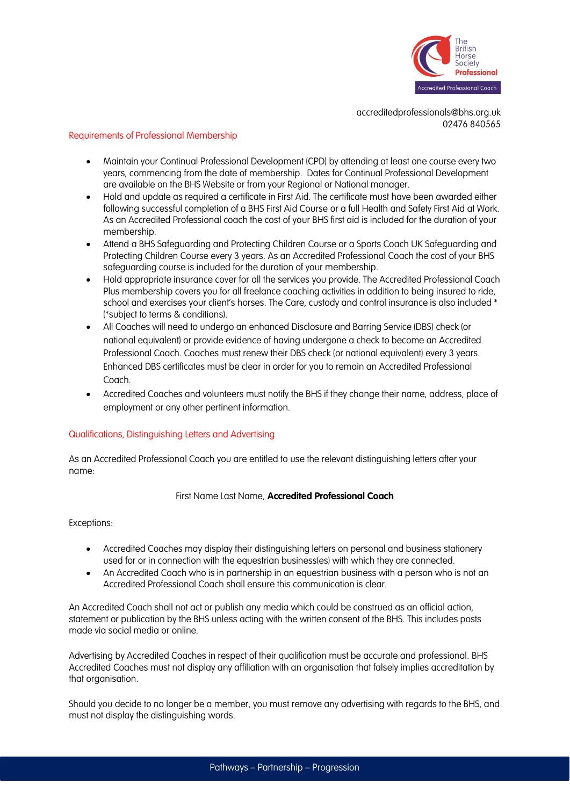

## Requirements of Professional Membership

- Maintain your Continual Professional Development (CPD) by attending at least one course every two years, commencing from the date of membership. Dates for Continual Professional Development are available on the BHS Website or from your Regional or National manager.
- Hold and update as required a certificate in First Aid. The certificate must have been awarded either following successful completion of a BHS First Aid Course or a full Health and Safety First Aid at Work. As an Accredited Professional coach the cost of your BHS first aid is included for the duration of your membership.
- Attend a BHS Safeguarding and Protecting Children Course or a Sports Coach UK Safeguarding and Protecting Children Course every 3 years. As an Accredited Professional Coach the cost of your BHS safeguarding course is included for the duration of your membership.
- Hold appropriate insurance cover for all the services you provide. The Accredited Professional Coach Plus membership covers you for all freelance coaching activities in addition to being insured to ride, school and exercises your client's horses. The Care, custody and control insurance is also included \* (\*subject to terms & conditions).
- All Coaches will need to undergo an enhanced Disclosure and Barring Service (DBS) check (or national equivalent) or provide evidence of having undergone a check to become an Accredited Professional Coach. Coaches must renew their DBS check (or national equivalent) every 3 years. Enhanced DBS certificates must be clear in order for you to remain an Accredited Professional Coach.
- Accredited Coaches and volunteers must notify the BHS if they change their name, address, place of employment or any other pertinent information.

## Qualifications, Distinguishing Letters and Advertising

As an Accredited Professional Coach you are entitled to use the relevant distinguishing letters after your name:

## First Name Last Name, **Accredited Professional Coach**

## Exceptions:

- Accredited Coaches may display their distinguishing letters on personal and business stationery used for or in connection with the equestrian business(es) with which they are connected.
- An Accredited Coach who is in partnership in an equestrian business with a person who is not an Accredited Professional Coach shall ensure this communication is clear.

An Accredited Coach shall not act or publish any media which could be construed as an official action, statement or publication by the BHS unless acting with the written consent of the BHS. This includes posts made via social media or online.

Advertising by Accredited Coaches in respect of their qualification must be accurate and professional. BHS Accredited Coaches must not display any affiliation with an organisation that falsely implies accreditation by that organisation.

Should you decide to no longer be a member, you must remove any advertising with regards to the BHS, and must not display the distinguishing words.